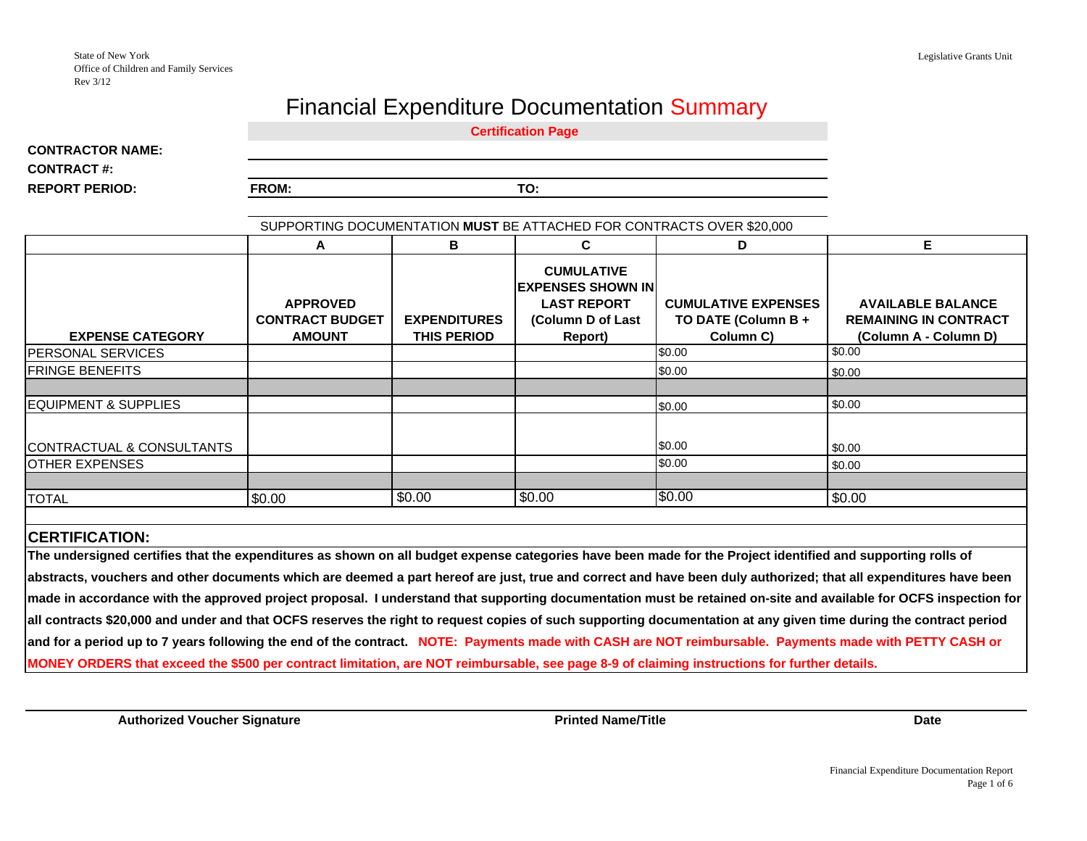## Financial Expenditure Documentation Summary

**Certification Page**

**CONTRACTOR NAME:CONTRACT #:**

**REPORT PERIOD:**

FROM: TO:

| SUPPORTING DOCUMENTATION MUST BE ATTACHED FOR CONTRACTS OVER \$20,000                                                                                                                                                                                                                                                                                                                                                                                                                                                                                                                                                                                                    |                                                            |                                           |                                                                                                     |                                                                |                                                                                   |  |  |  |  |
|--------------------------------------------------------------------------------------------------------------------------------------------------------------------------------------------------------------------------------------------------------------------------------------------------------------------------------------------------------------------------------------------------------------------------------------------------------------------------------------------------------------------------------------------------------------------------------------------------------------------------------------------------------------------------|------------------------------------------------------------|-------------------------------------------|-----------------------------------------------------------------------------------------------------|----------------------------------------------------------------|-----------------------------------------------------------------------------------|--|--|--|--|
|                                                                                                                                                                                                                                                                                                                                                                                                                                                                                                                                                                                                                                                                          | A                                                          | B                                         | C.                                                                                                  | D.                                                             | E                                                                                 |  |  |  |  |
| <b>EXPENSE CATEGORY</b>                                                                                                                                                                                                                                                                                                                                                                                                                                                                                                                                                                                                                                                  | <b>APPROVED</b><br><b>CONTRACT BUDGET</b><br><b>AMOUNT</b> | <b>EXPENDITURES</b><br><b>THIS PERIOD</b> | <b>CUMULATIVE</b><br><b>EXPENSES SHOWN IN</b><br><b>LAST REPORT</b><br>(Column D of Last<br>Report) | <b>CUMULATIVE EXPENSES</b><br>TO DATE (Column B +<br>Column C) | <b>AVAILABLE BALANCE</b><br><b>REMAINING IN CONTRACT</b><br>(Column A - Column D) |  |  |  |  |
| <b>PERSONAL SERVICES</b>                                                                                                                                                                                                                                                                                                                                                                                                                                                                                                                                                                                                                                                 |                                                            |                                           |                                                                                                     | \$0.00                                                         | \$0.00                                                                            |  |  |  |  |
| <b>FRINGE BENEFITS</b>                                                                                                                                                                                                                                                                                                                                                                                                                                                                                                                                                                                                                                                   |                                                            |                                           |                                                                                                     | \$0.00                                                         | \$0.00                                                                            |  |  |  |  |
|                                                                                                                                                                                                                                                                                                                                                                                                                                                                                                                                                                                                                                                                          |                                                            |                                           |                                                                                                     |                                                                |                                                                                   |  |  |  |  |
| EQUIPMENT & SUPPLIES                                                                                                                                                                                                                                                                                                                                                                                                                                                                                                                                                                                                                                                     |                                                            |                                           |                                                                                                     | \$0.00                                                         | \$0.00                                                                            |  |  |  |  |
| CONTRACTUAL & CONSULTANTS<br><b>OTHER EXPENSES</b>                                                                                                                                                                                                                                                                                                                                                                                                                                                                                                                                                                                                                       |                                                            |                                           |                                                                                                     | \$0.00<br>\$0.00                                               | \$0.00<br>\$0.00                                                                  |  |  |  |  |
| <b>TOTAL</b>                                                                                                                                                                                                                                                                                                                                                                                                                                                                                                                                                                                                                                                             | \$0.00                                                     | \$0.00                                    | \$0.00                                                                                              | \$0.00                                                         | \$0.00                                                                            |  |  |  |  |
| <b>CERTIFICATION:</b>                                                                                                                                                                                                                                                                                                                                                                                                                                                                                                                                                                                                                                                    |                                                            |                                           |                                                                                                     |                                                                |                                                                                   |  |  |  |  |
| The undersigned certifies that the expenditures as shown on all budget expense categories have been made for the Project identified and supporting rolls of<br>abstracts, vouchers and other documents which are deemed a part hereof are just, true and correct and have been duly authorized; that all expenditures have been<br>made in accordance with the approved project proposal. I understand that supporting documentation must be retained on-site and available for OCFS inspection for<br>all contracts \$20,000 and under and that OCFS reserves the right to request copies of such supporting documentation at any given time during the contract period |                                                            |                                           |                                                                                                     |                                                                |                                                                                   |  |  |  |  |

**and for a period up to 7 years following the end of the contract. NOTE: Payments made with CASH are NOT reimbursable. Payments made with PETTY CASH or** 

**MONEY ORDERS that exceed the \$500 per contract limitation, are NOT reimbursable, see page 8-9 of claiming instructions for further details.** 

**Authorized Voucher Signature**

**Printed Name/Title**

**Date**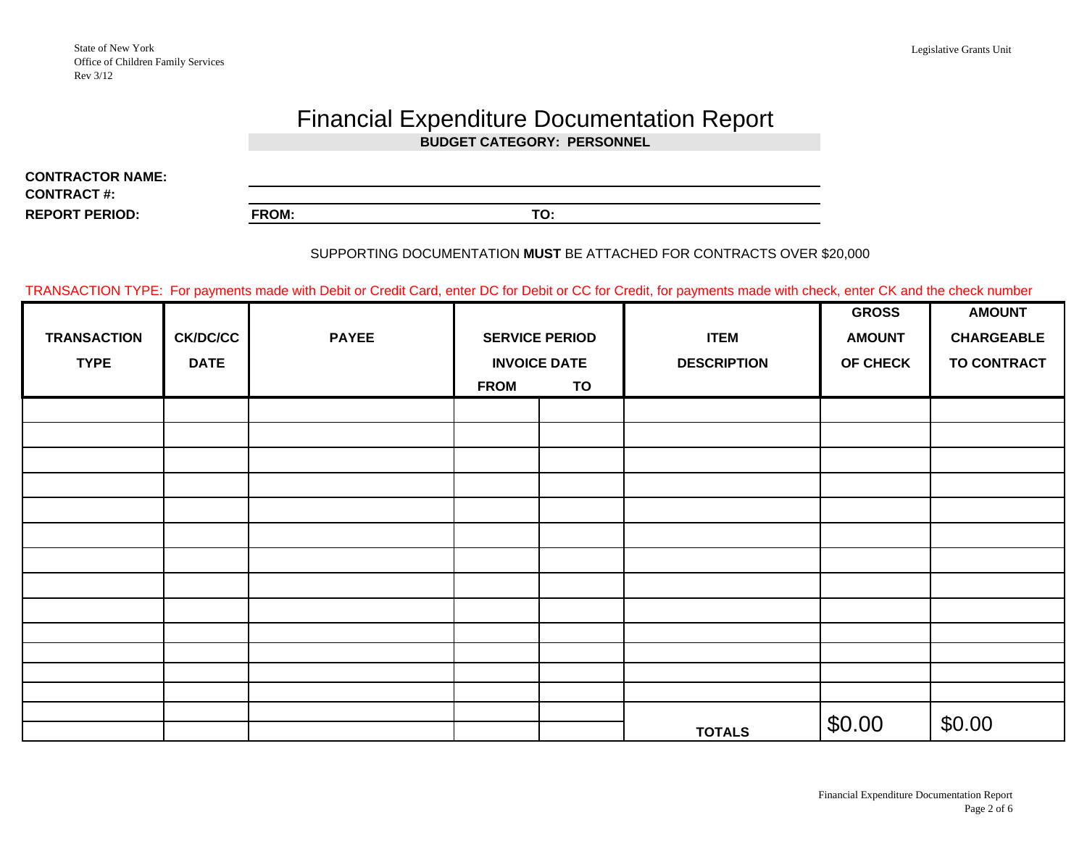#### Legislative Grants Unit

# Financial Expenditure Documentation Report

**BUDGET CATEGORY: PERSONNEL**

**REPORT PERIOD: FROM: TO:CONTRACTOR NAME:CONTRACT #:**

### SUPPORTING DOCUMENTATION **MUST** BE ATTACHED FOR CONTRACTS OVER \$20,000

TRANSACTION TYPE: For payments made with Debit or Credit Card, enter DC for Debit or CC for Credit, for payments made with check, enter CK and the check number

|                    |                 |              |                       |                     |                    | <b>GROSS</b>    | <b>AMOUNT</b>      |
|--------------------|-----------------|--------------|-----------------------|---------------------|--------------------|-----------------|--------------------|
| <b>TRANSACTION</b> | <b>CK/DC/CC</b> | <b>PAYEE</b> | <b>SERVICE PERIOD</b> |                     | <b>ITEM</b>        | <b>AMOUNT</b>   | <b>CHARGEABLE</b>  |
| <b>TYPE</b>        | <b>DATE</b>     |              |                       | <b>INVOICE DATE</b> | <b>DESCRIPTION</b> | <b>OF CHECK</b> | <b>TO CONTRACT</b> |
|                    |                 |              | <b>FROM</b>           | TO                  |                    |                 |                    |
|                    |                 |              |                       |                     |                    |                 |                    |
|                    |                 |              |                       |                     |                    |                 |                    |
|                    |                 |              |                       |                     |                    |                 |                    |
|                    |                 |              |                       |                     |                    |                 |                    |
|                    |                 |              |                       |                     |                    |                 |                    |
|                    |                 |              |                       |                     |                    |                 |                    |
|                    |                 |              |                       |                     |                    |                 |                    |
|                    |                 |              |                       |                     |                    |                 |                    |
|                    |                 |              |                       |                     |                    |                 |                    |
|                    |                 |              |                       |                     |                    |                 |                    |
|                    |                 |              |                       |                     |                    |                 |                    |
|                    |                 |              |                       |                     |                    |                 |                    |
|                    |                 |              |                       |                     |                    |                 |                    |
|                    |                 |              |                       |                     |                    |                 | \$0.00             |
|                    |                 |              |                       |                     | <b>TOTALS</b>      | \$0.00          |                    |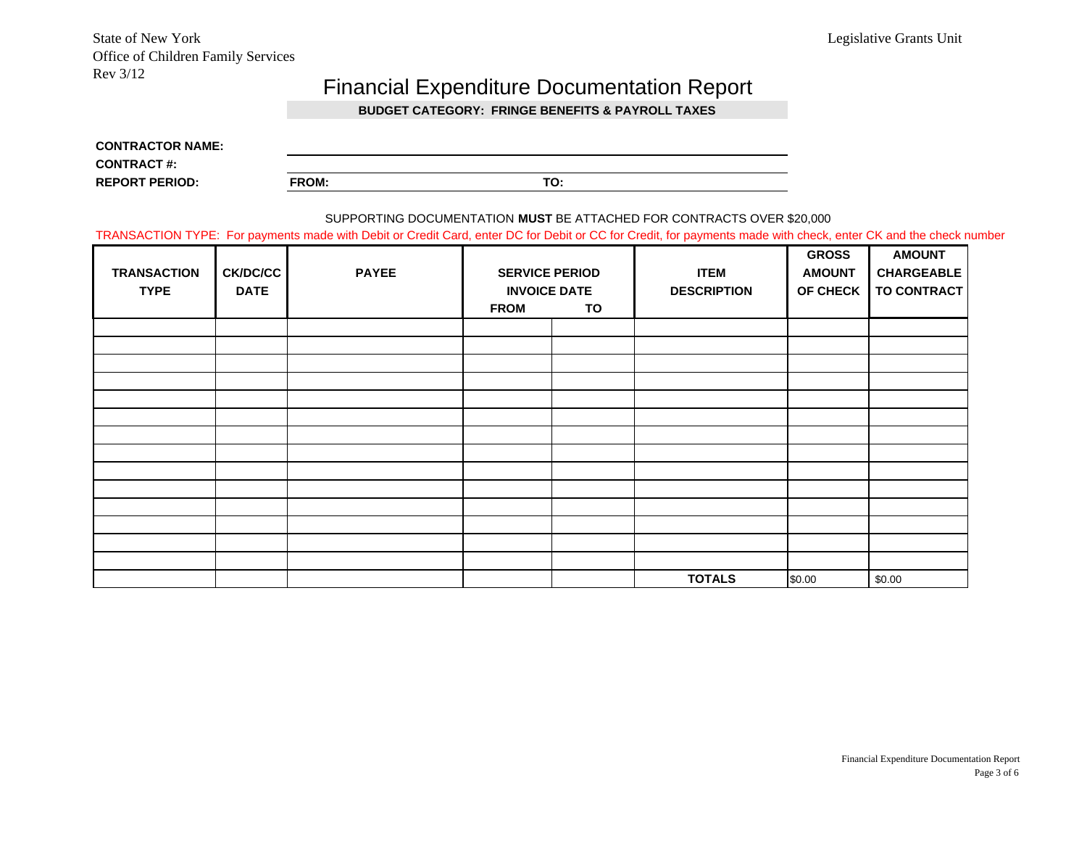State of New York Legislative Grants Unit Office of Children Family Services Rev 3/12

### Financial Expenditure Documentation Report

**BUDGET CATEGORY: FRINGE BENEFITS & PAYROLL TAXES** 

| <b>CONTRACTOR NAME:</b> |       |     |
|-------------------------|-------|-----|
| <b>CONTRACT #:</b>      |       |     |
| <b>REPORT PERIOD:</b>   | FROM: | TO: |

#### SUPPORTING DOCUMENTATION **MUST** BE ATTACHED FOR CONTRACTS OVER \$20,000

TRANSACTION TYPE: For payments made with Debit or Credit Card, enter DC for Debit or CC for Credit, for payments made with check, enter CK and the check number

| <b>TRANSACTION</b><br><b>TYPE</b> | <b>CK/DC/CC</b><br><b>DATE</b> | <b>PAYEE</b> | <b>SERVICE PERIOD</b><br><b>INVOICE DATE</b><br><b>FROM</b><br>TO |  | <b>ITEM</b><br><b>DESCRIPTION</b> | <b>GROSS</b><br><b>AMOUNT</b><br>OF CHECK | <b>AMOUNT</b><br><b>CHARGEABLE</b><br><b>TO CONTRACT</b> |
|-----------------------------------|--------------------------------|--------------|-------------------------------------------------------------------|--|-----------------------------------|-------------------------------------------|----------------------------------------------------------|
|                                   |                                |              |                                                                   |  |                                   |                                           |                                                          |
|                                   |                                |              |                                                                   |  |                                   |                                           |                                                          |
|                                   |                                |              |                                                                   |  |                                   |                                           |                                                          |
|                                   |                                |              |                                                                   |  |                                   |                                           |                                                          |
|                                   |                                |              |                                                                   |  |                                   |                                           |                                                          |
|                                   |                                |              |                                                                   |  |                                   |                                           |                                                          |
|                                   |                                |              |                                                                   |  |                                   |                                           |                                                          |
|                                   |                                |              |                                                                   |  |                                   |                                           |                                                          |
|                                   |                                |              |                                                                   |  |                                   |                                           |                                                          |
|                                   |                                |              |                                                                   |  |                                   |                                           |                                                          |
|                                   |                                |              |                                                                   |  |                                   |                                           |                                                          |
|                                   |                                |              |                                                                   |  |                                   |                                           |                                                          |
|                                   |                                |              |                                                                   |  |                                   |                                           |                                                          |
|                                   |                                |              |                                                                   |  |                                   |                                           |                                                          |
|                                   |                                |              |                                                                   |  | <b>TOTALS</b>                     | \$0.00                                    | \$0.00                                                   |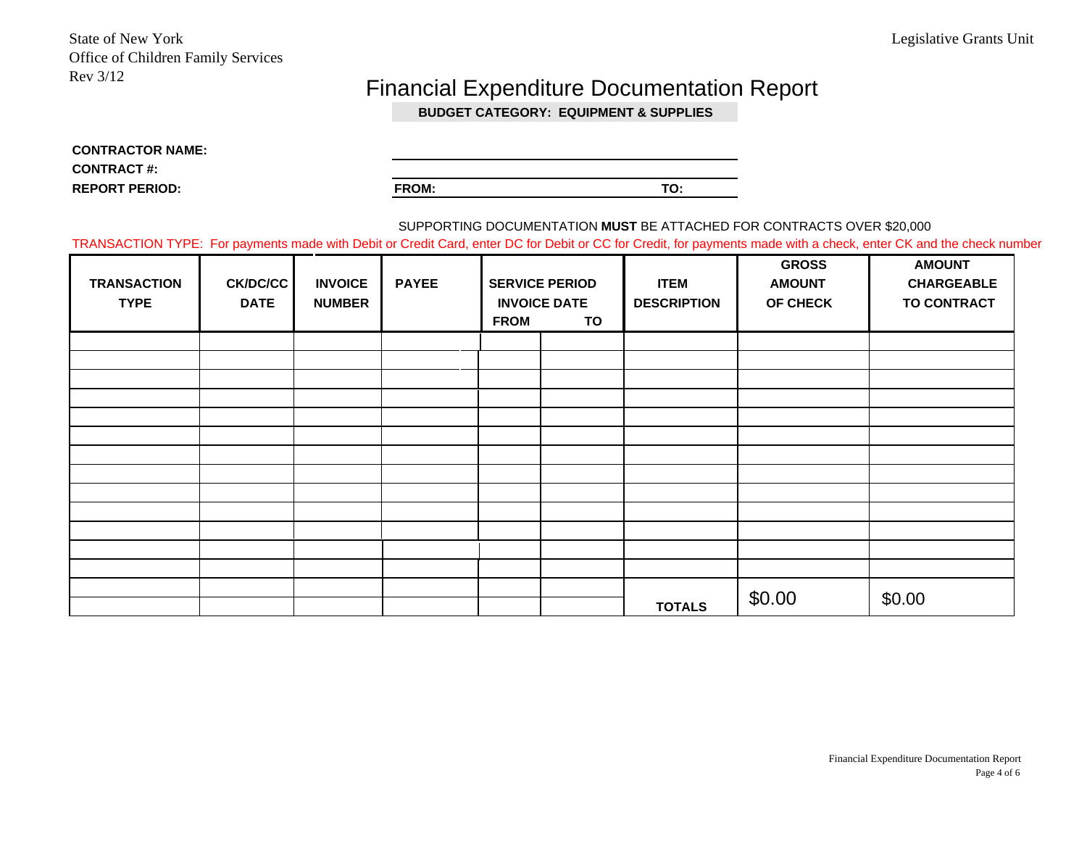## Financial Expenditure Documentation Report

**BUDGET CATEGORY: EQUIPMENT & SUPPLIES**

**CONTRACTOR NAME: CONTRACT #: REPORT PERIOD:**

**FROM: TO:**

SUPPORTING DOCUMENTATION **MUST** BE ATTACHED FOR CONTRACTS OVER \$20,000

TRANSACTION TYPE: For payments made with Debit or Credit Card, enter DC for Debit or CC for Credit, for payments made with a check, enter CK and the check number

| <b>TRANSACTION</b><br><b>TYPE</b> | CK/DC/CC<br><b>DATE</b> | <b>INVOICE</b><br><b>NUMBER</b> | <b>PAYEE</b> | <b>FROM</b> | <b>SERVICE PERIOD</b><br><b>INVOICE DATE</b><br>TO | <b>ITEM</b><br><b>DESCRIPTION</b> | <b>GROSS</b><br><b>AMOUNT</b><br>OF CHECK | <b>AMOUNT</b><br><b>CHARGEABLE</b><br><b>TO CONTRACT</b> |
|-----------------------------------|-------------------------|---------------------------------|--------------|-------------|----------------------------------------------------|-----------------------------------|-------------------------------------------|----------------------------------------------------------|
|                                   |                         |                                 |              |             |                                                    |                                   |                                           |                                                          |
|                                   |                         |                                 |              |             |                                                    |                                   |                                           |                                                          |
|                                   |                         |                                 |              |             |                                                    |                                   |                                           |                                                          |
|                                   |                         |                                 |              |             |                                                    |                                   |                                           |                                                          |
|                                   |                         |                                 |              |             |                                                    |                                   |                                           |                                                          |
|                                   |                         |                                 |              |             |                                                    |                                   |                                           |                                                          |
|                                   |                         |                                 |              |             |                                                    |                                   |                                           |                                                          |
|                                   |                         |                                 |              |             |                                                    |                                   |                                           |                                                          |
|                                   |                         |                                 |              |             |                                                    |                                   |                                           |                                                          |
|                                   |                         |                                 |              |             |                                                    |                                   |                                           |                                                          |
|                                   |                         |                                 |              |             |                                                    |                                   |                                           |                                                          |
|                                   |                         |                                 |              |             |                                                    |                                   |                                           |                                                          |
|                                   |                         |                                 |              |             |                                                    |                                   |                                           |                                                          |
|                                   |                         |                                 |              |             |                                                    |                                   |                                           | \$0.00                                                   |
|                                   |                         |                                 |              |             |                                                    | <b>TOTALS</b>                     | \$0.00                                    |                                                          |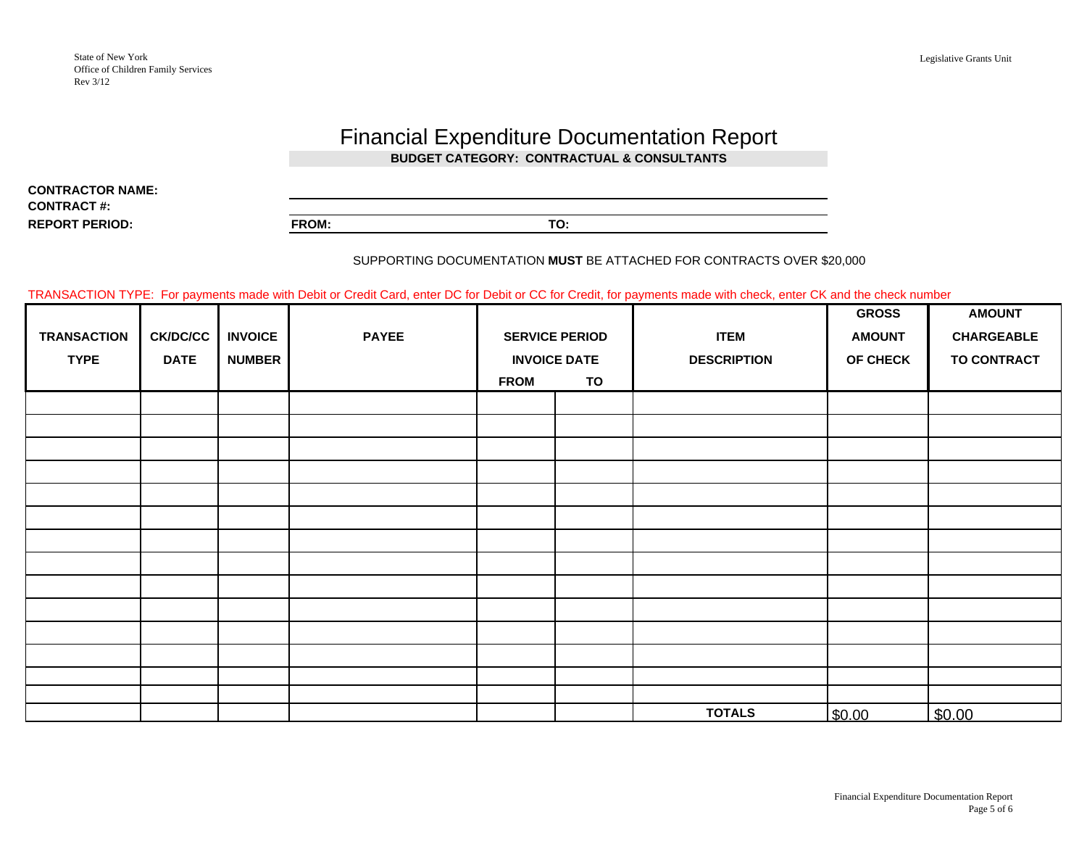### Financial Expenditure Documentation Report **BUDGET CATEGORY: CONTRACTUAL & CONSULTANTS**

**REPORT PERIOD:CONTRACTOR NAME:CONTRACT #:**

| AME |              |     |
|-----|--------------|-----|
|     |              |     |
|     | <b>FROM:</b> | - - |
|     |              |     |

#### SUPPORTING DOCUMENTATION **MUST** BE ATTACHED FOR CONTRACTS OVER \$20,000

TRANSACTION TYPE: For payments made with Debit or Credit Card, enter DC for Debit or CC for Credit, for payments made with check, enter CK and the check number

|                    |             |                |              |                       |                     |                    | <b>GROSS</b>  | <b>AMOUNT</b>      |
|--------------------|-------------|----------------|--------------|-----------------------|---------------------|--------------------|---------------|--------------------|
| <b>TRANSACTION</b> | CK/DC/CC    | <b>INVOICE</b> | <b>PAYEE</b> | <b>SERVICE PERIOD</b> |                     | <b>ITEM</b>        | <b>AMOUNT</b> | <b>CHARGEABLE</b>  |
| <b>TYPE</b>        | <b>DATE</b> | <b>NUMBER</b>  |              |                       | <b>INVOICE DATE</b> | <b>DESCRIPTION</b> | OF CHECK      | <b>TO CONTRACT</b> |
|                    |             |                |              | <b>FROM</b>           | TO                  |                    |               |                    |
|                    |             |                |              |                       |                     |                    |               |                    |
|                    |             |                |              |                       |                     |                    |               |                    |
|                    |             |                |              |                       |                     |                    |               |                    |
|                    |             |                |              |                       |                     |                    |               |                    |
|                    |             |                |              |                       |                     |                    |               |                    |
|                    |             |                |              |                       |                     |                    |               |                    |
|                    |             |                |              |                       |                     |                    |               |                    |
|                    |             |                |              |                       |                     |                    |               |                    |
|                    |             |                |              |                       |                     |                    |               |                    |
|                    |             |                |              |                       |                     |                    |               |                    |
|                    |             |                |              |                       |                     |                    |               |                    |
|                    |             |                |              |                       |                     |                    |               |                    |
|                    |             |                |              |                       |                     |                    |               |                    |
|                    |             |                |              |                       |                     |                    |               |                    |
|                    |             |                |              |                       |                     | <b>TOTALS</b>      | \$0.00        | \$0.00             |